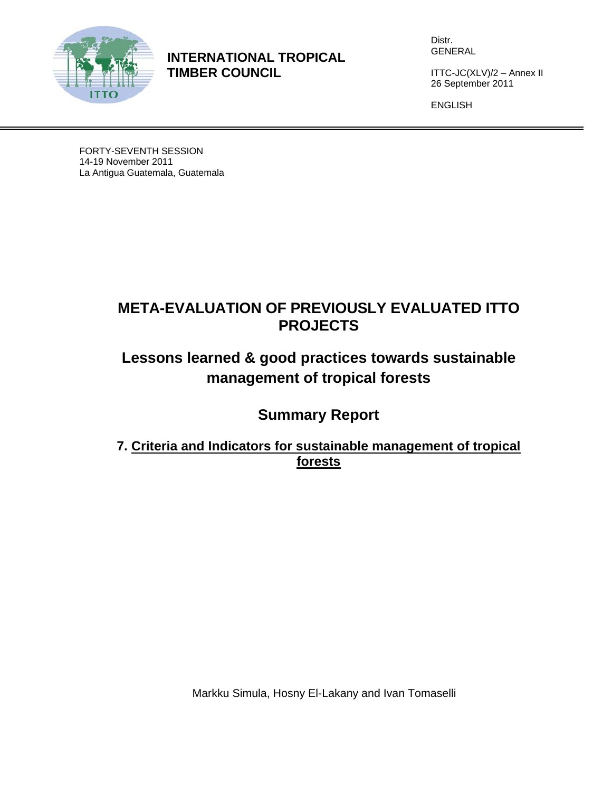

**INTERNATIONAL TROPICAL TIMBER COUNCIL** 

Distr. GENERAL

ITTC-JC(XLV)/2 – Annex II 26 September 2011

ENGLISH

FORTY-SEVENTH SESSION 14-19 November 2011 La Antigua Guatemala, Guatemala

## **META-EVALUATION OF PREVIOUSLY EVALUATED ITTO PROJECTS**

# **Lessons learned & good practices towards sustainable management of tropical forests**

## **Summary Report**

### **7. Criteria and Indicators for sustainable management of tropical forests**

Markku Simula, Hosny El-Lakany and Ivan Tomaselli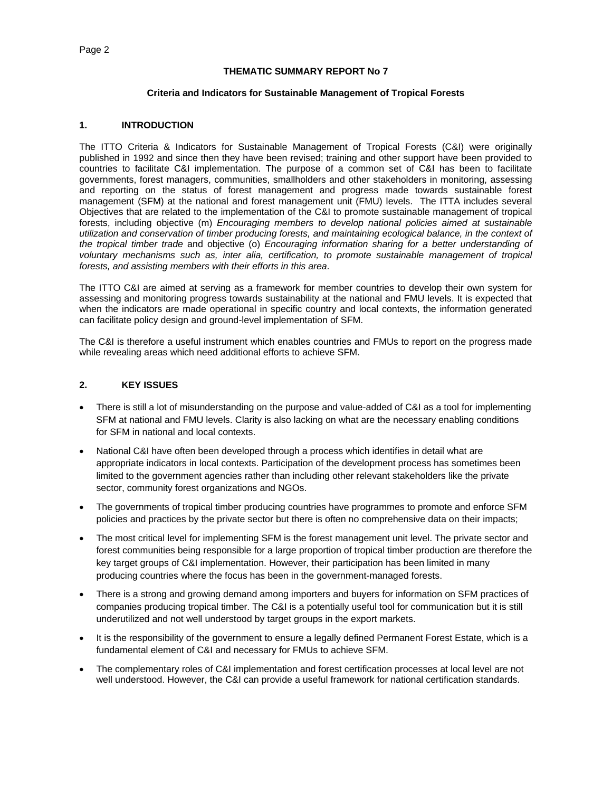#### **THEMATIC SUMMARY REPORT No 7**

#### **Criteria and Indicators for Sustainable Management of Tropical Forests**

#### **1. INTRODUCTION**

The ITTO Criteria & Indicators for Sustainable Management of Tropical Forests (C&I) were originally published in 1992 and since then they have been revised; training and other support have been provided to countries to facilitate C&I implementation. The purpose of a common set of C&I has been to facilitate governments, forest managers, communities, smallholders and other stakeholders in monitoring, assessing and reporting on the status of forest management and progress made towards sustainable forest management (SFM) at the national and forest management unit (FMU) levels. The ITTA includes several Objectives that are related to the implementation of the C&I to promote sustainable management of tropical forests, including objective (m) *Encouraging members to develop national policies aimed at sustainable utilization and conservation of timber producing forests, and maintaining ecological balance, in the context of the tropical timber trade* and objective (o) *Encouraging information sharing for a better understanding of voluntary mechanisms such as, inter alia, certification, to promote sustainable management of tropical forests, and assisting members with their efforts in this area*.

The ITTO C&I are aimed at serving as a framework for member countries to develop their own system for assessing and monitoring progress towards sustainability at the national and FMU levels. It is expected that when the indicators are made operational in specific country and local contexts, the information generated can facilitate policy design and ground-level implementation of SFM.

The C&I is therefore a useful instrument which enables countries and FMUs to report on the progress made while revealing areas which need additional efforts to achieve SFM.

#### **2. KEY ISSUES**

- There is still a lot of misunderstanding on the purpose and value-added of C&I as a tool for implementing SFM at national and FMU levels. Clarity is also lacking on what are the necessary enabling conditions for SFM in national and local contexts.
- National C&I have often been developed through a process which identifies in detail what are appropriate indicators in local contexts. Participation of the development process has sometimes been limited to the government agencies rather than including other relevant stakeholders like the private sector, community forest organizations and NGOs.
- The governments of tropical timber producing countries have programmes to promote and enforce SFM policies and practices by the private sector but there is often no comprehensive data on their impacts;
- The most critical level for implementing SFM is the forest management unit level. The private sector and forest communities being responsible for a large proportion of tropical timber production are therefore the key target groups of C&I implementation. However, their participation has been limited in many producing countries where the focus has been in the government-managed forests.
- There is a strong and growing demand among importers and buyers for information on SFM practices of companies producing tropical timber. The C&I is a potentially useful tool for communication but it is still underutilized and not well understood by target groups in the export markets.
- It is the responsibility of the government to ensure a legally defined Permanent Forest Estate, which is a fundamental element of C&I and necessary for FMUs to achieve SFM.
- The complementary roles of C&I implementation and forest certification processes at local level are not well understood. However, the C&I can provide a useful framework for national certification standards.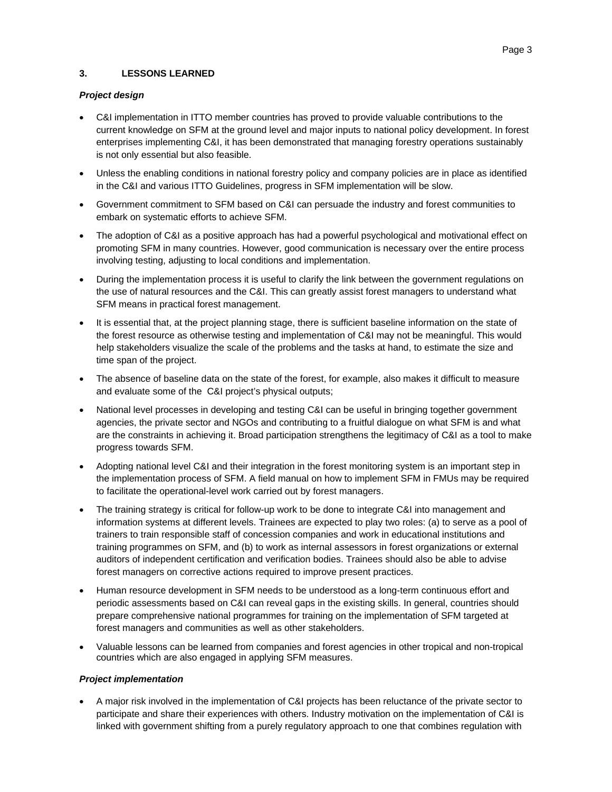#### **3. LESSONS LEARNED**

#### *Project design*

- C&I implementation in ITTO member countries has proved to provide valuable contributions to the current knowledge on SFM at the ground level and major inputs to national policy development. In forest enterprises implementing C&I, it has been demonstrated that managing forestry operations sustainably is not only essential but also feasible.
- Unless the enabling conditions in national forestry policy and company policies are in place as identified in the C&I and various ITTO Guidelines, progress in SFM implementation will be slow.
- Government commitment to SFM based on C&I can persuade the industry and forest communities to embark on systematic efforts to achieve SFM.
- The adoption of C&I as a positive approach has had a powerful psychological and motivational effect on promoting SFM in many countries. However, good communication is necessary over the entire process involving testing, adjusting to local conditions and implementation.
- During the implementation process it is useful to clarify the link between the government regulations on the use of natural resources and the C&I. This can greatly assist forest managers to understand what SFM means in practical forest management.
- It is essential that, at the project planning stage, there is sufficient baseline information on the state of the forest resource as otherwise testing and implementation of C&I may not be meaningful. This would help stakeholders visualize the scale of the problems and the tasks at hand, to estimate the size and time span of the project.
- The absence of baseline data on the state of the forest, for example, also makes it difficult to measure and evaluate some of the C&I project's physical outputs;
- National level processes in developing and testing C&I can be useful in bringing together government agencies, the private sector and NGOs and contributing to a fruitful dialogue on what SFM is and what are the constraints in achieving it. Broad participation strengthens the legitimacy of C&I as a tool to make progress towards SFM.
- Adopting national level C&I and their integration in the forest monitoring system is an important step in the implementation process of SFM. A field manual on how to implement SFM in FMUs may be required to facilitate the operational-level work carried out by forest managers.
- The training strategy is critical for follow-up work to be done to integrate C&I into management and information systems at different levels. Trainees are expected to play two roles: (a) to serve as a pool of trainers to train responsible staff of concession companies and work in educational institutions and training programmes on SFM, and (b) to work as internal assessors in forest organizations or external auditors of independent certification and verification bodies. Trainees should also be able to advise forest managers on corrective actions required to improve present practices.
- Human resource development in SFM needs to be understood as a long-term continuous effort and periodic assessments based on C&I can reveal gaps in the existing skills. In general, countries should prepare comprehensive national programmes for training on the implementation of SFM targeted at forest managers and communities as well as other stakeholders.
- Valuable lessons can be learned from companies and forest agencies in other tropical and non-tropical countries which are also engaged in applying SFM measures.

#### *Project implementation*

 A major risk involved in the implementation of C&I projects has been reluctance of the private sector to participate and share their experiences with others. Industry motivation on the implementation of C&I is linked with government shifting from a purely regulatory approach to one that combines regulation with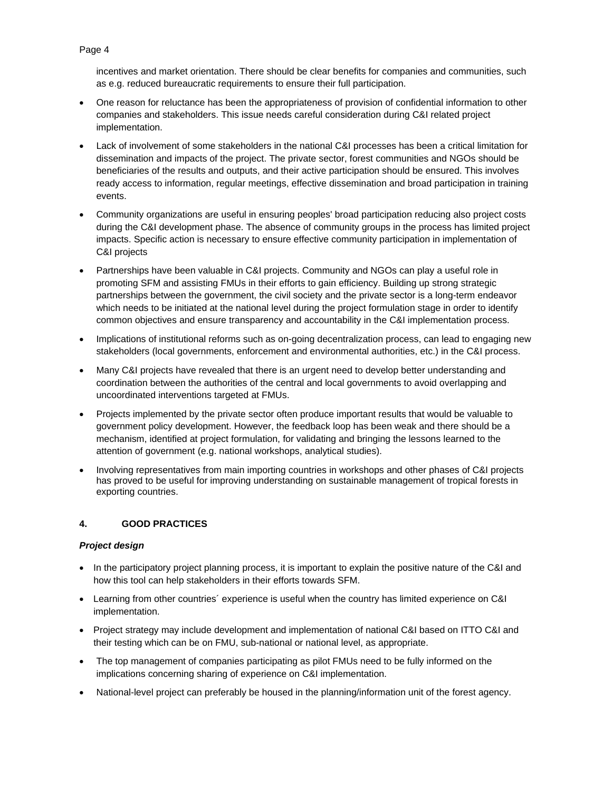incentives and market orientation. There should be clear benefits for companies and communities, such as e.g. reduced bureaucratic requirements to ensure their full participation.

- One reason for reluctance has been the appropriateness of provision of confidential information to other companies and stakeholders. This issue needs careful consideration during C&I related project implementation.
- Lack of involvement of some stakeholders in the national C&I processes has been a critical limitation for dissemination and impacts of the project. The private sector, forest communities and NGOs should be beneficiaries of the results and outputs, and their active participation should be ensured. This involves ready access to information, regular meetings, effective dissemination and broad participation in training events.
- Community organizations are useful in ensuring peoples' broad participation reducing also project costs during the C&I development phase. The absence of community groups in the process has limited project impacts. Specific action is necessary to ensure effective community participation in implementation of C&I projects
- Partnerships have been valuable in C&I projects. Community and NGOs can play a useful role in promoting SFM and assisting FMUs in their efforts to gain efficiency. Building up strong strategic partnerships between the government, the civil society and the private sector is a long-term endeavor which needs to be initiated at the national level during the project formulation stage in order to identify common objectives and ensure transparency and accountability in the C&I implementation process.
- Implications of institutional reforms such as on-going decentralization process, can lead to engaging new stakeholders (local governments, enforcement and environmental authorities, etc.) in the C&I process.
- Many C&I projects have revealed that there is an urgent need to develop better understanding and coordination between the authorities of the central and local governments to avoid overlapping and uncoordinated interventions targeted at FMUs.
- Projects implemented by the private sector often produce important results that would be valuable to government policy development. However, the feedback loop has been weak and there should be a mechanism, identified at project formulation, for validating and bringing the lessons learned to the attention of government (e.g. national workshops, analytical studies).
- Involving representatives from main importing countries in workshops and other phases of C&I projects has proved to be useful for improving understanding on sustainable management of tropical forests in exporting countries.

#### **4. GOOD PRACTICES**

#### *Project design*

- In the participatory project planning process, it is important to explain the positive nature of the C&I and how this tool can help stakeholders in their efforts towards SFM.
- Learning from other countries´ experience is useful when the country has limited experience on C&I implementation.
- Project strategy may include development and implementation of national C&I based on ITTO C&I and their testing which can be on FMU, sub-national or national level, as appropriate.
- The top management of companies participating as pilot FMUs need to be fully informed on the implications concerning sharing of experience on C&I implementation.
- National-level project can preferably be housed in the planning/information unit of the forest agency.

#### Page 4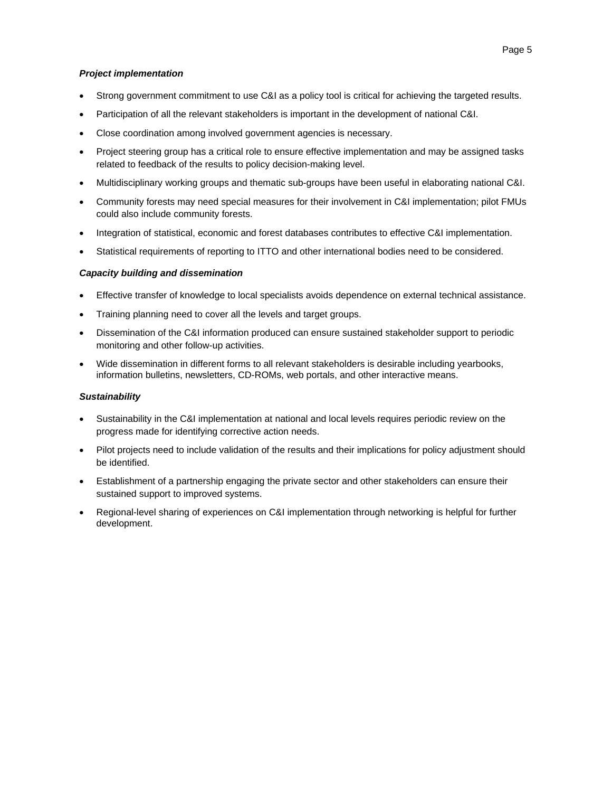#### *Project implementation*

- Strong government commitment to use C&I as a policy tool is critical for achieving the targeted results.
- Participation of all the relevant stakeholders is important in the development of national C&I.
- Close coordination among involved government agencies is necessary.
- Project steering group has a critical role to ensure effective implementation and may be assigned tasks related to feedback of the results to policy decision-making level.
- Multidisciplinary working groups and thematic sub-groups have been useful in elaborating national C&I.
- Community forests may need special measures for their involvement in C&I implementation; pilot FMUs could also include community forests.
- Integration of statistical, economic and forest databases contributes to effective C&I implementation.
- Statistical requirements of reporting to ITTO and other international bodies need to be considered.

#### *Capacity building and dissemination*

- Effective transfer of knowledge to local specialists avoids dependence on external technical assistance.
- Training planning need to cover all the levels and target groups.
- Dissemination of the C&I information produced can ensure sustained stakeholder support to periodic monitoring and other follow-up activities.
- Wide dissemination in different forms to all relevant stakeholders is desirable including yearbooks, information bulletins, newsletters, CD-ROMs, web portals, and other interactive means.

#### *Sustainability*

- Sustainability in the C&I implementation at national and local levels requires periodic review on the progress made for identifying corrective action needs.
- Pilot projects need to include validation of the results and their implications for policy adjustment should be identified.
- Establishment of a partnership engaging the private sector and other stakeholders can ensure their sustained support to improved systems.
- Regional-level sharing of experiences on C&I implementation through networking is helpful for further development.